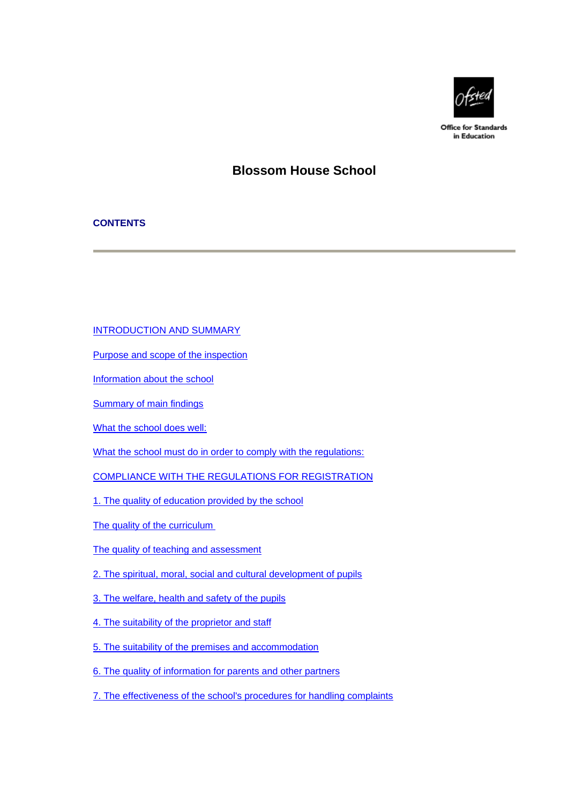

**Office for Standards** in Education

# **Blossom House School**

## **CONTENTS**

[INTRODUCTION AND SUMMARY](#page-1-0)

[Purpose and scope of the inspection](#page-1-0)

[Information about the school](#page-1-0)

[Summary of main findings](#page-2-0)

[What the school does well:](#page-2-0)

[What the school must do in order to comply with the regulations:](#page-2-0)

[COMPLIANCE WITH THE REGULATIONS FOR REGISTRATION](#page-2-0)

[1. The quality of education provided by the school](#page-3-0)

[The quality of the curriculum](#page-3-0)

- [The quality of teaching and assessment](#page-3-0)
- [2. The spiritual, moral, social and cultural development of pupils](#page-4-0)
- [3. The welfare, health and safety of the pupils](#page-5-0)
- [4. The suitability of the proprietor and staff](#page-6-0)
- [5. The suitability of the premises and accommodation](#page-6-0)
- [6. The quality of information for parents and other partners](#page-7-0)
- [7. The effectiveness of the school's procedures for handling complaints](#page-7-0)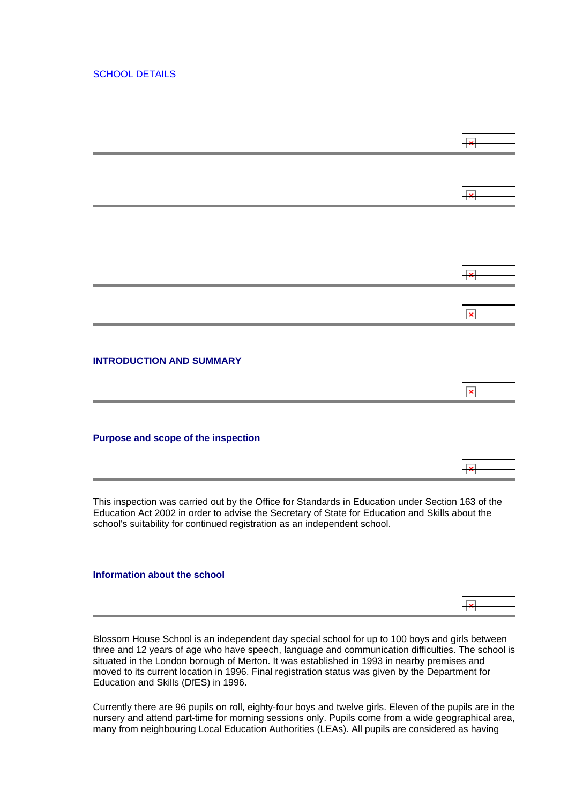## <span id="page-1-0"></span>[SCHOOL DETAILS](#page-8-0)

| <b>INTRODUCTION AND SUMMARY</b>                                                                                                                                                                                                                                                   |  |
|-----------------------------------------------------------------------------------------------------------------------------------------------------------------------------------------------------------------------------------------------------------------------------------|--|
| Purpose and scope of the inspection                                                                                                                                                                                                                                               |  |
| This inspection was carried out by the Office for Standards in Education under Section 163 of the<br>Education Act 2002 in order to advise the Secretary of State for Education and Skills about the<br>school's suitability for continued registration as an independent school. |  |

## **Information about the school**

Blossom House School is an independent day special school for up to 100 boys and girls between three and 12 years of age who have speech, language and communication difficulties. The school is situated in the London borough of Merton. It was established in 1993 in nearby premises and moved to its current location in 1996. Final registration status was given by the Department for Education and Skills (DfES) in 1996.

ابجا

Currently there are 96 pupils on roll, eighty-four boys and twelve girls. Eleven of the pupils are in the nursery and attend part-time for morning sessions only. Pupils come from a wide geographical area, many from neighbouring Local Education Authorities (LEAs). All pupils are considered as having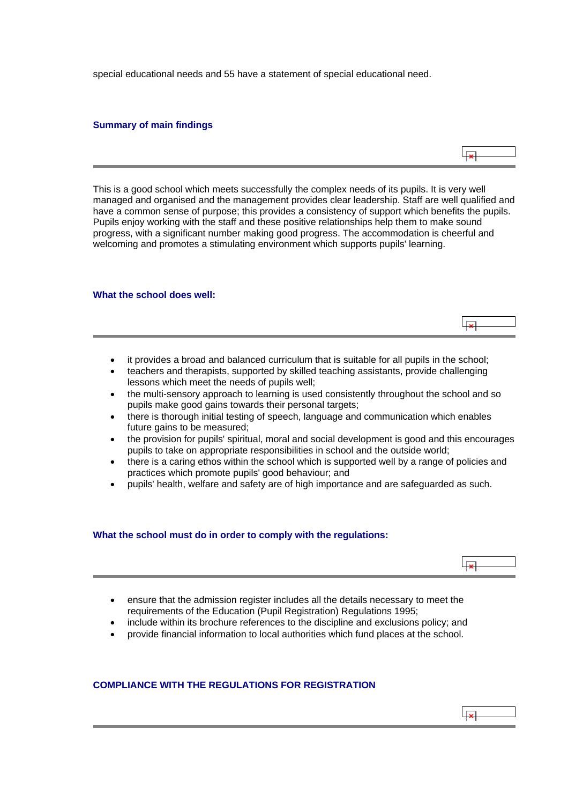<span id="page-2-0"></span>special educational needs and 55 have a statement of special educational need.

## **Summary of main findings**



ایجا

This is a good school which meets successfully the complex needs of its pupils. It is very well managed and organised and the management provides clear leadership. Staff are well qualified and have a common sense of purpose; this provides a consistency of support which benefits the pupils. Pupils enjoy working with the staff and these positive relationships help them to make sound progress, with a significant number making good progress. The accommodation is cheerful and welcoming and promotes a stimulating environment which supports pupils' learning.

#### **What the school does well:**

- it provides a broad and balanced curriculum that is suitable for all pupils in the school;
- teachers and therapists, supported by skilled teaching assistants, provide challenging lessons which meet the needs of pupils well;
- the multi-sensory approach to learning is used consistently throughout the school and so pupils make good gains towards their personal targets;
- there is thorough initial testing of speech, language and communication which enables future gains to be measured;
- the provision for pupils' spiritual, moral and social development is good and this encourages pupils to take on appropriate responsibilities in school and the outside world;
- there is a caring ethos within the school which is supported well by a range of policies and practices which promote pupils' good behaviour; and
- pupils' health, welfare and safety are of high importance and are safeguarded as such.

## **What the school must do in order to comply with the regulations:**



- ensure that the admission register includes all the details necessary to meet the requirements of the Education (Pupil Registration) Regulations 1995;
- include within its brochure references to the discipline and exclusions policy; and
- provide financial information to local authorities which fund places at the school.

## **COMPLIANCE WITH THE REGULATIONS FOR REGISTRATION**

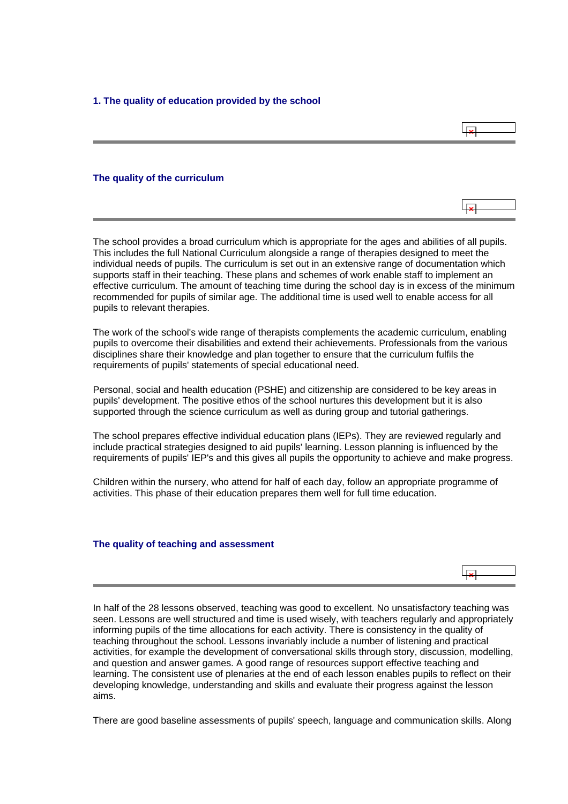<span id="page-3-0"></span>**1. The quality of education provided by the school**

## **The quality of the curriculum**

The school provides a broad curriculum which is appropriate for the ages and abilities of all pupils. This includes the full National Curriculum alongside a range of therapies designed to meet the individual needs of pupils. The curriculum is set out in an extensive range of documentation which supports staff in their teaching. These plans and schemes of work enable staff to implement an effective curriculum. The amount of teaching time during the school day is in excess of the minimum recommended for pupils of similar age. The additional time is used well to enable access for all pupils to relevant therapies.

The work of the school's wide range of therapists complements the academic curriculum, enabling pupils to overcome their disabilities and extend their achievements. Professionals from the various disciplines share their knowledge and plan together to ensure that the curriculum fulfils the requirements of pupils' statements of special educational need.

Personal, social and health education (PSHE) and citizenship are considered to be key areas in pupils' development. The positive ethos of the school nurtures this development but it is also supported through the science curriculum as well as during group and tutorial gatherings.

The school prepares effective individual education plans (IEPs). They are reviewed regularly and include practical strategies designed to aid pupils' learning. Lesson planning is influenced by the requirements of pupils' IEP's and this gives all pupils the opportunity to achieve and make progress.

Children within the nursery, who attend for half of each day, follow an appropriate programme of activities. This phase of their education prepares them well for full time education.

#### **The quality of teaching and assessment**



In half of the 28 lessons observed, teaching was good to excellent. No unsatisfactory teaching was seen. Lessons are well structured and time is used wisely, with teachers regularly and appropriately informing pupils of the time allocations for each activity. There is consistency in the quality of teaching throughout the school. Lessons invariably include a number of listening and practical activities, for example the development of conversational skills through story, discussion, modelling, and question and answer games. A good range of resources support effective teaching and learning. The consistent use of plenaries at the end of each lesson enables pupils to reflect on their developing knowledge, understanding and skills and evaluate their progress against the lesson aims.

There are good baseline assessments of pupils' speech, language and communication skills. Along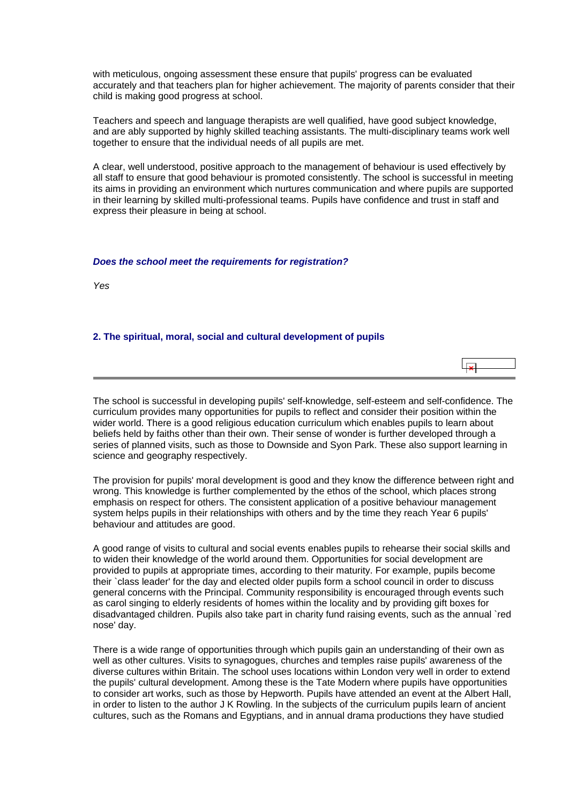<span id="page-4-0"></span>with meticulous, ongoing assessment these ensure that pupils' progress can be evaluated accurately and that teachers plan for higher achievement. The majority of parents consider that their child is making good progress at school.

Teachers and speech and language therapists are well qualified, have good subject knowledge, and are ably supported by highly skilled teaching assistants. The multi-disciplinary teams work well together to ensure that the individual needs of all pupils are met.

A clear, well understood, positive approach to the management of behaviour is used effectively by all staff to ensure that good behaviour is promoted consistently. The school is successful in meeting its aims in providing an environment which nurtures communication and where pupils are supported in their learning by skilled multi-professional teams. Pupils have confidence and trust in staff and express their pleasure in being at school.

## *Does the school meet the requirements for registration?*

*Yes*

## **2. The spiritual, moral, social and cultural development of pupils**

 $\overline{a}$ 

The school is successful in developing pupils' self-knowledge, self-esteem and self-confidence. The curriculum provides many opportunities for pupils to reflect and consider their position within the wider world. There is a good religious education curriculum which enables pupils to learn about beliefs held by faiths other than their own. Their sense of wonder is further developed through a series of planned visits, such as those to Downside and Syon Park. These also support learning in science and geography respectively.

The provision for pupils' moral development is good and they know the difference between right and wrong. This knowledge is further complemented by the ethos of the school, which places strong emphasis on respect for others. The consistent application of a positive behaviour management system helps pupils in their relationships with others and by the time they reach Year 6 pupils' behaviour and attitudes are good.

A good range of visits to cultural and social events enables pupils to rehearse their social skills and to widen their knowledge of the world around them. Opportunities for social development are provided to pupils at appropriate times, according to their maturity. For example, pupils become their `class leader' for the day and elected older pupils form a school council in order to discuss general concerns with the Principal. Community responsibility is encouraged through events such as carol singing to elderly residents of homes within the locality and by providing gift boxes for disadvantaged children. Pupils also take part in charity fund raising events, such as the annual `red nose' day.

There is a wide range of opportunities through which pupils gain an understanding of their own as well as other cultures. Visits to synagogues, churches and temples raise pupils' awareness of the diverse cultures within Britain. The school uses locations within London very well in order to extend the pupils' cultural development. Among these is the Tate Modern where pupils have opportunities to consider art works, such as those by Hepworth. Pupils have attended an event at the Albert Hall, in order to listen to the author J K Rowling. In the subjects of the curriculum pupils learn of ancient cultures, such as the Romans and Egyptians, and in annual drama productions they have studied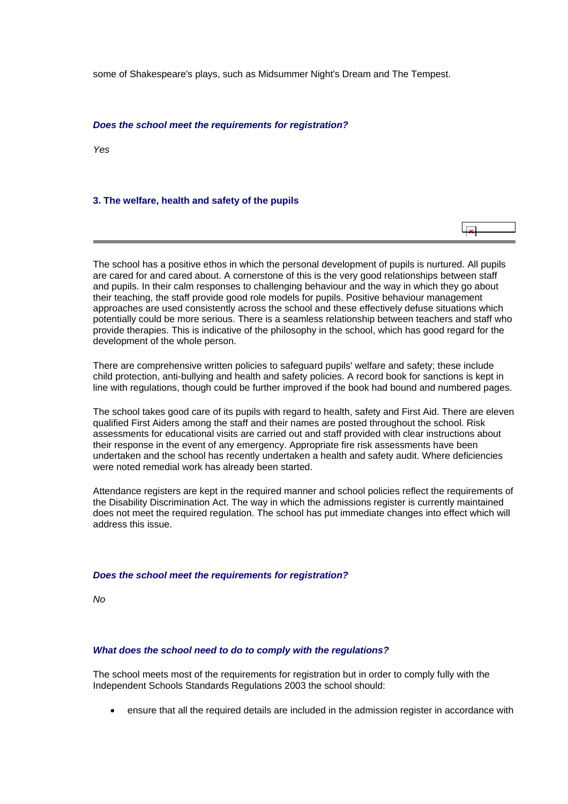<span id="page-5-0"></span>some of Shakespeare's plays, such as Midsummer Night's Dream and The Tempest.

#### *Does the school meet the requirements for registration?*

*Yes*

#### **3. The welfare, health and safety of the pupils**

احل

The school has a positive ethos in which the personal development of pupils is nurtured. All pupils are cared for and cared about. A cornerstone of this is the very good relationships between staff and pupils. In their calm responses to challenging behaviour and the way in which they go about their teaching, the staff provide good role models for pupils. Positive behaviour management approaches are used consistently across the school and these effectively defuse situations which potentially could be more serious. There is a seamless relationship between teachers and staff who provide therapies. This is indicative of the philosophy in the school, which has good regard for the development of the whole person.

There are comprehensive written policies to safeguard pupils' welfare and safety; these include child protection, anti-bullying and health and safety policies. A record book for sanctions is kept in line with regulations, though could be further improved if the book had bound and numbered pages.

The school takes good care of its pupils with regard to health, safety and First Aid. There are eleven qualified First Aiders among the staff and their names are posted throughout the school. Risk assessments for educational visits are carried out and staff provided with clear instructions about their response in the event of any emergency. Appropriate fire risk assessments have been undertaken and the school has recently undertaken a health and safety audit. Where deficiencies were noted remedial work has already been started.

Attendance registers are kept in the required manner and school policies reflect the requirements of the Disability Discrimination Act. The way in which the admissions register is currently maintained does not meet the required regulation. The school has put immediate changes into effect which will address this issue.

#### *Does the school meet the requirements for registration?*

*No*

## *What does the school need to do to comply with the regulations?*

The school meets most of the requirements for registration but in order to comply fully with the Independent Schools Standards Regulations 2003 the school should:

• ensure that all the required details are included in the admission register in accordance with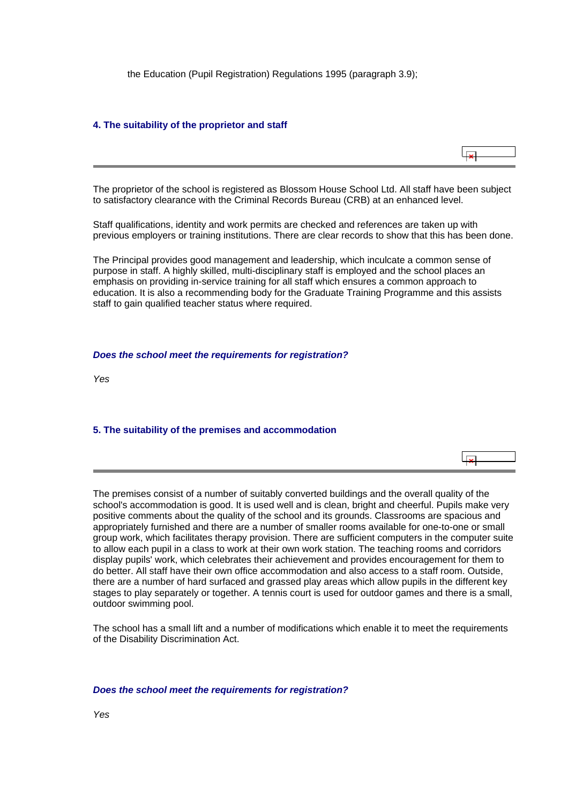<span id="page-6-0"></span>the Education (Pupil Registration) Regulations 1995 (paragraph 3.9);

## **4. The suitability of the proprietor and staff**

 $\overline{\mathbf{r}}$ 

The proprietor of the school is registered as Blossom House School Ltd. All staff have been subject to satisfactory clearance with the Criminal Records Bureau (CRB) at an enhanced level.

Staff qualifications, identity and work permits are checked and references are taken up with previous employers or training institutions. There are clear records to show that this has been done.

The Principal provides good management and leadership, which inculcate a common sense of purpose in staff. A highly skilled, multi-disciplinary staff is employed and the school places an emphasis on providing in-service training for all staff which ensures a common approach to education. It is also a recommending body for the Graduate Training Programme and this assists staff to gain qualified teacher status where required.

#### *Does the school meet the requirements for registration?*

*Yes*

## **5. The suitability of the premises and accommodation**

The premises consist of a number of suitably converted buildings and the overall quality of the school's accommodation is good. It is used well and is clean, bright and cheerful. Pupils make very positive comments about the quality of the school and its grounds. Classrooms are spacious and appropriately furnished and there are a number of smaller rooms available for one-to-one or small group work, which facilitates therapy provision. There are sufficient computers in the computer suite to allow each pupil in a class to work at their own work station. The teaching rooms and corridors display pupils' work, which celebrates their achievement and provides encouragement for them to do better. All staff have their own office accommodation and also access to a staff room. Outside, there are a number of hard surfaced and grassed play areas which allow pupils in the different key stages to play separately or together. A tennis court is used for outdoor games and there is a small, outdoor swimming pool.

The school has a small lift and a number of modifications which enable it to meet the requirements of the Disability Discrimination Act.

#### *Does the school meet the requirements for registration?*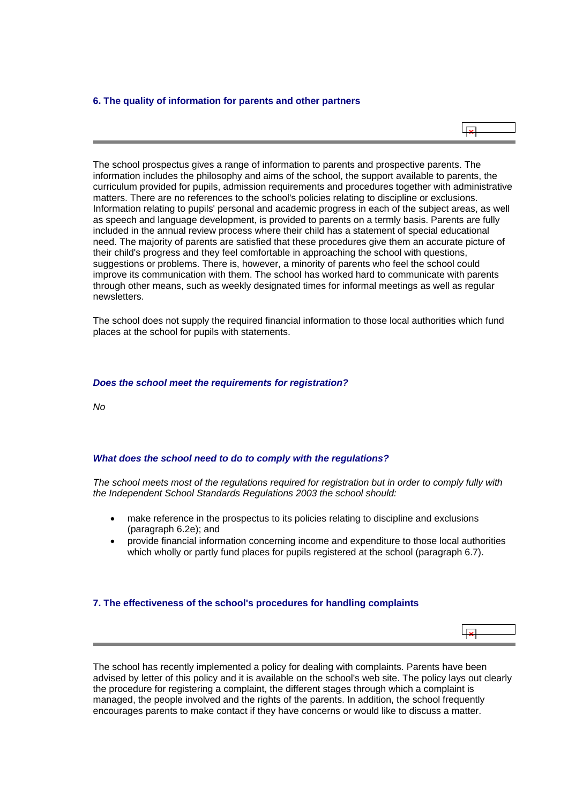### <span id="page-7-0"></span>**6. The quality of information for parents and other partners**



The school prospectus gives a range of information to parents and prospective parents. The information includes the philosophy and aims of the school, the support available to parents, the curriculum provided for pupils, admission requirements and procedures together with administrative matters. There are no references to the school's policies relating to discipline or exclusions. Information relating to pupils' personal and academic progress in each of the subject areas, as well as speech and language development, is provided to parents on a termly basis. Parents are fully included in the annual review process where their child has a statement of special educational need. The majority of parents are satisfied that these procedures give them an accurate picture of their child's progress and they feel comfortable in approaching the school with questions, suggestions or problems. There is, however, a minority of parents who feel the school could improve its communication with them. The school has worked hard to communicate with parents through other means, such as weekly designated times for informal meetings as well as regular newsletters.

The school does not supply the required financial information to those local authorities which fund places at the school for pupils with statements.

#### *Does the school meet the requirements for registration?*

*No*

## *What does the school need to do to comply with the regulations?*

*The school meets most of the regulations required for registration but in order to comply fully with the Independent School Standards Regulations 2003 the school should:*

- make reference in the prospectus to its policies relating to discipline and exclusions (paragraph 6.2e); and
- provide financial information concerning income and expenditure to those local authorities which wholly or partly fund places for pupils registered at the school (paragraph 6.7).

#### **7. The effectiveness of the school's procedures for handling complaints**

The school has recently implemented a policy for dealing with complaints. Parents have been advised by letter of this policy and it is available on the school's web site. The policy lays out clearly the procedure for registering a complaint, the different stages through which a complaint is managed, the people involved and the rights of the parents. In addition, the school frequently encourages parents to make contact if they have concerns or would like to discuss a matter.